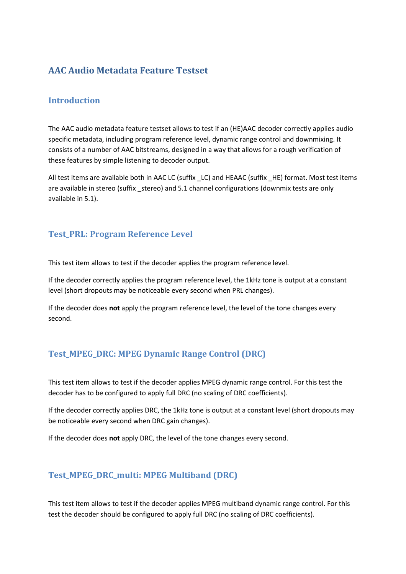# **AAC Audio Metadata Feature Testset**

#### **Introduction**

The AAC audio metadata feature testset allows to test if an (HE)AAC decoder correctly applies audio specific metadata, including program reference level, dynamic range control and downmixing. It consists of a number of AAC bitstreams, designed in a way that allows for a rough verification of these features by simple listening to decoder output.

All test items are available both in AAC LC (suffix LC) and HEAAC (suffix HE) format. Most test items are available in stereo (suffix \_stereo) and 5.1 channel configurations (downmix tests are only available in 5.1).

#### **Test\_PRL: Program Reference Level**

This test item allows to test if the decoder applies the program reference level.

If the decoder correctly applies the program reference level, the 1kHz tone is output at a constant level (short dropouts may be noticeable every second when PRL changes).

If the decoder does **not** apply the program reference level, the level of the tone changes every second.

# **Test\_MPEG\_DRC: MPEG Dynamic Range Control (DRC)**

This test item allows to test if the decoder applies MPEG dynamic range control. For this test the decoder has to be configured to apply full DRC (no scaling of DRC coefficients).

If the decoder correctly applies DRC, the 1kHz tone is output at a constant level (short dropouts may be noticeable every second when DRC gain changes).

If the decoder does **not** apply DRC, the level of the tone changes every second.

# **Test\_MPEG\_DRC\_multi: MPEG Multiband (DRC)**

This test item allows to test if the decoder applies MPEG multiband dynamic range control. For this test the decoder should be configured to apply full DRC (no scaling of DRC coefficients).